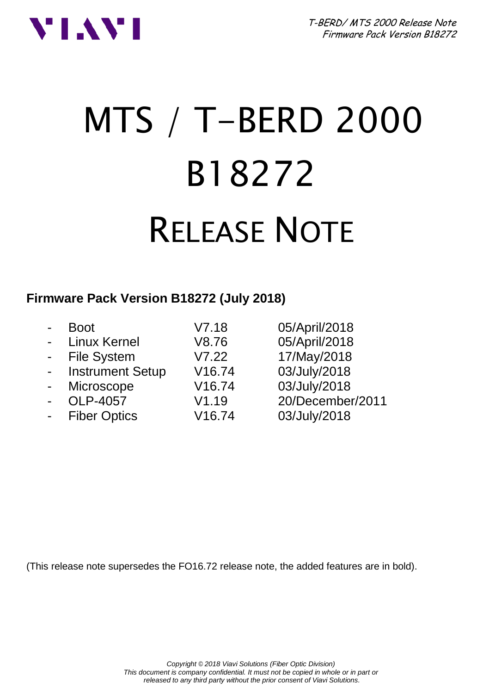

# MTS / T-BERD 2000 B18272 RELEASE NOTE

### **Firmware Pack Version B18272 (July 2018)**

|                | <b>Boot</b>         | V7.18  | 05/April/2018    |
|----------------|---------------------|--------|------------------|
| $\blacksquare$ | <b>Linux Kernel</b> | V8.76  | 05/April/2018    |
|                | - File System       | V7.22  | 17/May/2018      |
|                | - Instrument Setup  | V16.74 | 03/July/2018     |
| $\blacksquare$ | Microscope          | V16.74 | 03/July/2018     |
| $\blacksquare$ | OLP-4057            | V1.19  | 20/December/2011 |
| $\blacksquare$ | <b>Fiber Optics</b> | V16.74 | 03/July/2018     |
|                |                     |        |                  |

(This release note supersedes the FO16.72 release note, the added features are in bold).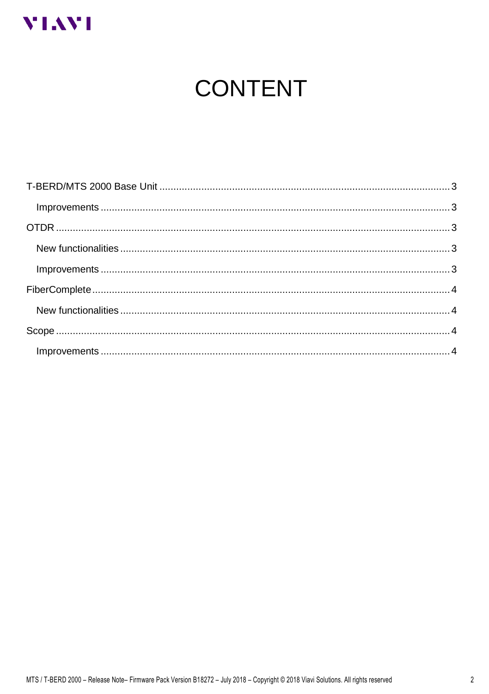

# **CONTENT**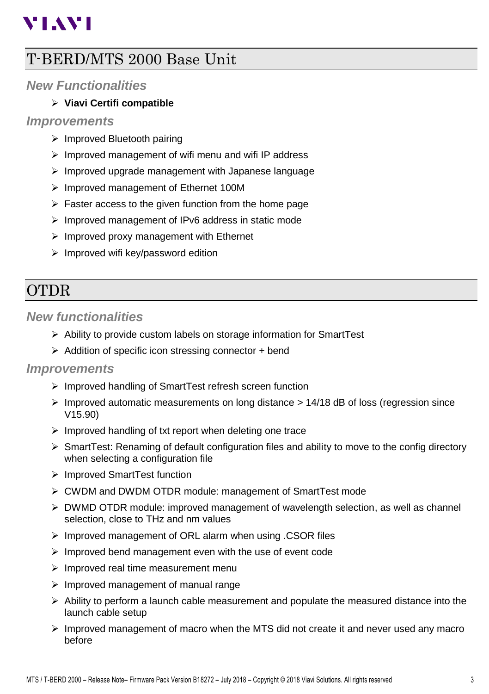# **VIAVI**

## <span id="page-2-0"></span>T-BERD/MTS 2000 Base Unit

#### <span id="page-2-1"></span>*New Functionalities*

#### ➢ **Viavi Certifi compatible**

#### *Improvements*

- ➢ Improved Bluetooth pairing
- ➢ Improved management of wifi menu and wifi IP address
- ➢ Improved upgrade management with Japanese language
- ➢ Improved management of Ethernet 100M
- $\triangleright$  Faster access to the given function from the home page
- ➢ Improved management of IPv6 address in static mode
- $\triangleright$  Improved proxy management with Ethernet
- ➢ Improved wifi key/password edition

# <span id="page-2-2"></span>OTDR

#### <span id="page-2-3"></span>*New functionalities*

- ➢ Ability to provide custom labels on storage information for SmartTest
- $\triangleright$  Addition of specific icon stressing connector + bend

#### <span id="page-2-4"></span>*Improvements*

- ➢ Improved handling of SmartTest refresh screen function
- $\triangleright$  Improved automatic measurements on long distance  $> 14/18$  dB of loss (regression since V15.90)
- ➢ Improved handling of txt report when deleting one trace
- $\triangleright$  SmartTest: Renaming of default configuration files and ability to move to the config directory when selecting a configuration file
- ➢ Improved SmartTest function
- ➢ CWDM and DWDM OTDR module: management of SmartTest mode
- ➢ DWMD OTDR module: improved management of wavelength selection, as well as channel selection, close to THz and nm values
- ➢ Improved management of ORL alarm when using .CSOR files
- ➢ Improved bend management even with the use of event code
- ➢ Improved real time measurement menu
- ➢ Improved management of manual range
- $\triangleright$  Ability to perform a launch cable measurement and populate the measured distance into the launch cable setup
- $\triangleright$  Improved management of macro when the MTS did not create it and never used any macro before